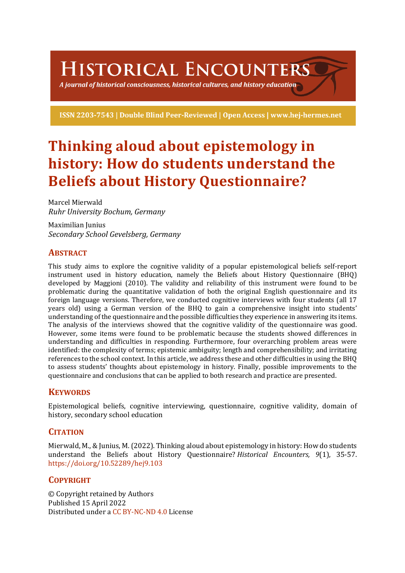# HISTORICAL ENCOUNTERS

A journal of historical consciousness, historical cultures, and history education  $\mathbb S$ 

ISSN 2203-7543 | Double Blind Peer-Reviewed | Open Access | www.hej-hermes.net

# **Thinking aloud about epistemology in history: How do students understand the Beliefs about History Questionnaire?**

Marcel Mierwald *Ruhr University Bochum, Germany*

Maximilian Junius *Secondary School Gevelsberg, Germany*

# **ABSTRACT**

This study aims to explore the cognitive validity of a popular epistemological beliefs self-report instrument used in history education, namely the Beliefs about History Questionnaire (BHQ) developed by Maggioni (2010). The validity and reliability of this instrument were found to be problematic during the quantitative validation of both the original English questionnaire and its foreign language versions. Therefore, we conducted cognitive interviews with four students (all 17 years old) using a German version of the BHQ to gain a comprehensive insight into students' understanding of the questionnaire and the possible difficulties they experience in answering its items. The analysis of the interviews showed that the cognitive validity of the questionnaire was good. However, some items were found to be problematic because the students showed differences in understanding and difficulties in responding. Furthermore, four overarching problem areas were identified: the complexity of terms; epistemic ambiguity; length and comprehensibility; and irritating references to the school context. In this article, we address these and other difficulties in using the BHQ to assess students' thoughts about epistemology in history. Finally, possible improvements to the questionnaire and conclusions that can be applied to both research and practice are presented.

# **KEYWORDS**

Epistemological beliefs, cognitive interviewing, questionnaire, cognitive validity, domain of history, secondary school education

# **CITATION**

Mierwald, M., & Junius, M. (2022). Thinking aloud about epistemology in history: How do students understand the Beliefs about History Questionnaire? *Historical Encounters*, 9(1), 35-57. https://doi.org/10.52289/hej9.103

# **COPYRIGHT**

© Copyright retained by Authors Published 15 April 2022 Distributed under a CC BY-NC-ND 4.0 License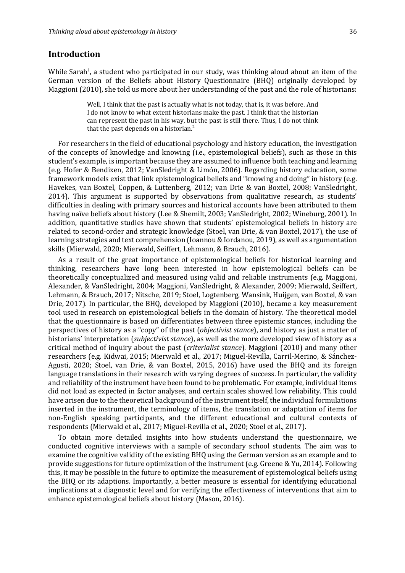## **Introduction**

While Sarah<sup>1</sup>, a student who participated in our study, was thinking aloud about an item of the German version of the Beliefs about History Questionnaire (BHQ) originally developed by Maggioni  $(2010)$ , she told us more about her understanding of the past and the role of historians:

> Well, I think that the past is actually what is not today, that is, it was before. And I do not know to what extent historians make the past. I think that the historian can represent the past in his way, but the past is still there. Thus, I do not think that the past depends on a historian.<sup>2</sup>

For researchers in the field of educational psychology and history education, the investigation of the concepts of knowledge and knowing (i.e., epistemological beliefs), such as those in this student's example, is important because they are assumed to influence both teaching and learning (e.g. Hofer & Bendixen, 2012; VanSledright & Limón, 2006). Regarding history education, some framework models exist that link epistemological beliefs and "knowing and doing" in history (e.g. Havekes, van Boxtel, Coppen, & Luttenberg, 2012; van Drie & van Boxtel, 2008; VanSledright, 2014). This argument is supported by observations from qualitative research, as students' difficulties in dealing with primary sources and historical accounts have been attributed to them having naïve beliefs about history (Lee & Shemilt, 2003; VanSledright, 2002; Wineburg, 2001). In addition, quantitative studies have shown that students' epistemological beliefs in history are related to second-order and strategic knowledge (Stoel, van Drie, & van Boxtel, 2017), the use of learning strategies and text comprehension (Ioannou & Iordanou, 2019), as well as argumentation skills (Mierwald, 2020; Mierwald, Seiffert, Lehmann, & Brauch, 2016).

As a result of the great importance of epistemological beliefs for historical learning and thinking, researchers have long been interested in how epistemological beliefs can be theoretically conceptualized and measured using valid and reliable instruments (e.g. Maggioni, Alexander, & VanSledright, 2004; Maggioni, VanSledright, & Alexander, 2009; Mierwald, Seiffert, Lehmann, & Brauch, 2017; Nitsche, 2019; Stoel, Logtenberg, Wansink, Huijgen, van Boxtel, & van Drie, 2017). In particular, the BHQ, developed by Maggioni (2010), became a key measurement tool used in research on epistemological beliefs in the domain of history. The theoretical model that the questionnaire is based on differentiates between three epistemic stances, including the perspectives of history as a "copy" of the past *(objectivist stance)*, and history as just a matter of historians' interpretation (*subjectivist stance*), as well as the more developed view of history as a critical method of inquiry about the past *(criterialist stance)*. Maggioni (2010) and many other researchers (e.g. Kidwai, 2015; Mierwald et al., 2017; Miguel-Revilla, Carril-Merino, & Sánchez-Agusti, 2020; Stoel, van Drie, & van Boxtel, 2015, 2016) have used the BHQ and its foreign language translations in their research with varying degrees of success. In particular, the validity and reliability of the instrument have been found to be problematic. For example, individual items did not load as expected in factor analyses, and certain scales showed low reliability. This could have arisen due to the theoretical background of the instrument itself, the individual formulations inserted in the instrument, the terminology of items, the translation or adaptation of items for non-English speaking participants, and the different educational and cultural contexts of respondents (Mierwald et al., 2017; Miguel-Revilla et al., 2020; Stoel et al., 2017).

To obtain more detailed insights into how students understand the questionnaire, we conducted cognitive interviews with a sample of secondary school students. The aim was to examine the cognitive validity of the existing BHQ using the German version as an example and to provide suggestions for future optimization of the instrument (e.g. Greene & Yu, 2014). Following this, it may be possible in the future to optimize the measurement of epistemological beliefs using the BHQ or its adaptions. Importantly, a better measure is essential for identifying educational implications at a diagnostic level and for verifying the effectiveness of interventions that aim to enhance epistemological beliefs about history (Mason, 2016).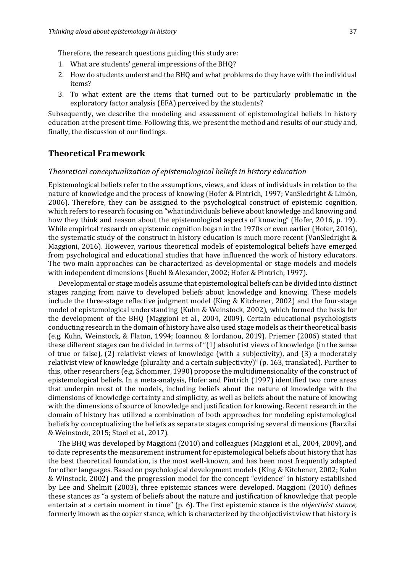Therefore, the research questions guiding this study are:

- 1. What are students' general impressions of the BHQ?
- 2. How do students understand the BHQ and what problems do they have with the individual items?
- 3. To what extent are the items that turned out to be particularly problematic in the exploratory factor analysis (EFA) perceived by the students?

Subsequently, we describe the modeling and assessment of epistemological beliefs in history education at the present time. Following this, we present the method and results of our study and, finally, the discussion of our findings.

## **Theoretical Framework**

#### *Theoretical conceptualization of epistemological beliefs in history education*

Epistemological beliefs refer to the assumptions, views, and ideas of individuals in relation to the nature of knowledge and the process of knowing (Hofer & Pintrich, 1997; VanSledright & Limón, 2006). Therefore, they can be assigned to the psychological construct of epistemic cognition, which refers to research focusing on "what individuals believe about knowledge and knowing and how they think and reason about the epistemological aspects of knowing" (Hofer, 2016, p. 19). While empirical research on epistemic cognition began in the 1970s or even earlier (Hofer, 2016), the systematic study of the construct in history education is much more recent (VanSledright  $&$ Maggioni, 2016). However, various theoretical models of epistemological beliefs have emerged from psychological and educational studies that have influenced the work of history educators. The two main approaches can be characterized as developmental or stage models and models with independent dimensions (Buehl & Alexander, 2002; Hofer & Pintrich, 1997).

Developmental or stage models assume that epistemological beliefs can be divided into distinct stages ranging from naïve to developed beliefs about knowledge and knowing. These models include the three-stage reflective judgment model (King & Kitchener, 2002) and the four-stage model of epistemological understanding (Kuhn & Weinstock, 2002), which formed the basis for the development of the BHQ (Maggioni et al., 2004, 2009). Certain educational psychologists conducting research in the domain of history have also used stage models as their theoretical basis (e.g. Kuhn, Weinstock, & Flaton, 1994; Ioannou & Iordanou, 2019). Priemer (2006) stated that these different stages can be divided in terms of " $(1)$  absolutist views of knowledge (in the sense of true or false),  $(2)$  relativist views of knowledge (with a subjectivity), and  $(3)$  a moderately relativist view of knowledge (plurality and a certain subjectivity)" (p. 163, translated). Further to this, other researchers (e.g. Schommer, 1990) propose the multidimensionality of the construct of epistemological beliefs. In a meta-analysis, Hofer and Pintrich (1997) identified two core areas that underpin most of the models, including beliefs about the nature of knowledge with the dimensions of knowledge certainty and simplicity, as well as beliefs about the nature of knowing with the dimensions of source of knowledge and justification for knowing. Recent research in the domain of history has utilized a combination of both approaches for modeling epistemological beliefs by conceptualizing the beliefs as separate stages comprising several dimensions (Barzilai & Weinstock, 2015; Stoel et al., 2017).

The BHQ was developed by Maggioni (2010) and colleagues (Maggioni et al., 2004, 2009), and to date represents the measurement instrument for epistemological beliefs about history that has the best theoretical foundation, is the most well-known, and has been most frequently adapted for other languages. Based on psychological development models (King & Kitchener, 2002; Kuhn & Winstock, 2002) and the progression model for the concept "evidence" in history established by Lee and Shelmit (2003), three epistemic stances were developed. Maggioni (2010) defines these stances as "a system of beliefs about the nature and justification of knowledge that people entertain at a certain moment in time" (p. 6). The first epistemic stance is the *objectivist stance*, formerly known as the copier stance, which is characterized by the objectivist view that history is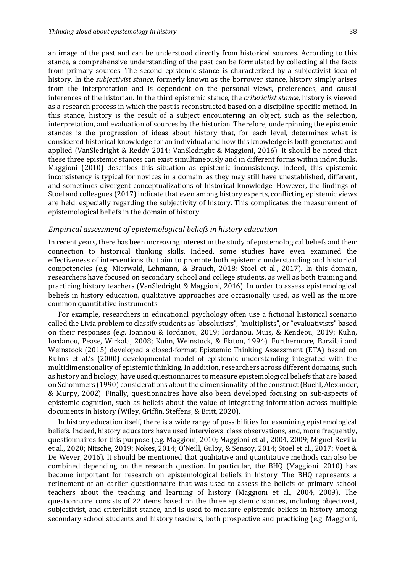an image of the past and can be understood directly from historical sources. According to this stance, a comprehensive understanding of the past can be formulated by collecting all the facts from primary sources. The second epistemic stance is characterized by a subjectivist idea of history. In the *subjectivist stance*, formerly known as the borrower stance, history simply arises from the interpretation and is dependent on the personal views, preferences, and causal inferences of the historian. In the third epistemic stance, the *criterialist stance*, history is viewed as a research process in which the past is reconstructed based on a discipline-specific method. In this stance, history is the result of a subject encountering an object, such as the selection, interpretation, and evaluation of sources by the historian. Therefore, underpinning the epistemic stances is the progression of ideas about history that, for each level, determines what is considered historical knowledge for an individual and how this knowledge is both generated and applied (VanSledright & Reddy 2014; VanSledright & Maggioni, 2016). It should be noted that these three epistemic stances can exist simultaneously and in different forms within individuals. Maggioni (2010) describes this situation as epistemic inconsistency. Indeed, this epistemic inconsistency is typical for novices in a domain, as they may still have unestablished, different, and sometimes divergent conceptualizations of historical knowledge. However, the findings of Stoel and colleagues (2017) indicate that even among history experts, conflicting epistemic views are held, especially regarding the subjectivity of history. This complicates the measurement of epistemological beliefs in the domain of history.

#### *Empirical assessment of epistemological beliefs in history education*

In recent years, there has been increasing interest in the study of epistemological beliefs and their connection to historical thinking skills. Indeed, some studies have even examined the effectiveness of interventions that aim to promote both epistemic understanding and historical competencies (e.g. Mierwald, Lehmann, & Brauch, 2018; Stoel et al., 2017). In this domain, researchers have focused on secondary school and college students, as well as both training and practicing history teachers (VanSledright & Maggioni, 2016). In order to assess epistemological beliefs in history education, qualitative approaches are occasionally used, as well as the more common quantitative instruments.

For example, researchers in educational psychology often use a fictional historical scenario called the Livia problem to classify students as "absolutists", "multiplists", or "evaluativists" based on their responses (e.g. Ioannou & Iordanou, 2019; Iordanou, Muis, & Kendeou, 2019; Kuhn, Iordanou, Pease, Wirkala, 2008; Kuhn, Weinstock, & Flaton, 1994). Furthermore, Barzilai and Weinstock (2015) developed a closed-format Epistemic Thinking Assessment (ETA) based on Kuhns et al.'s (2000) developmental model of epistemic understanding integrated with the multidimensionality of epistemic thinking. In addition, researchers across different domains, such as history and biology, have used questionnaires to measure epistemological beliefs that are based on Schommers (1990) considerations about the dimensionality of the construct (Buehl, Alexander, & Murpy, 2002). Finally, questionnaires have also been developed focusing on sub-aspects of epistemic cognition, such as beliefs about the value of integrating information across multiple documents in history (Wiley, Griffin, Steffens, & Britt, 2020).

In history education itself, there is a wide range of possibilities for examining epistemological beliefs. Indeed, history educators have used interviews, class observations, and, more frequently, questionnaires for this purpose (e.g. Maggioni, 2010; Maggioni et al., 2004, 2009; Miguel-Revilla et al., 2020; Nitsche, 2019; Nokes, 2014; O'Neill, Guloy, & Sensoy, 2014; Stoel et al., 2017; Voet & De Wever, 2016). It should be mentioned that qualitative and quantitative methods can also be combined depending on the research question. In particular, the BHQ (Maggioni, 2010) has become important for research on epistemological beliefs in history. The BHQ represents a refinement of an earlier questionnaire that was used to assess the beliefs of primary school teachers about the teaching and learning of history (Maggioni et al., 2004, 2009). The questionnaire consists of 22 items based on the three epistemic stances, including objectivist, subjectivist, and criterialist stance, and is used to measure epistemic beliefs in history among secondary school students and history teachers, both prospective and practicing (e.g. Maggioni,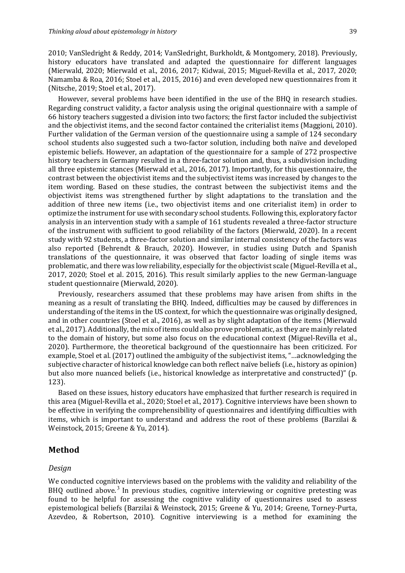2010; VanSledright & Reddy, 2014; VanSledright, Burkholdt, & Montgomery, 2018). Previously, history educators have translated and adapted the questionnaire for different languages (Mierwald, 2020; Mierwald et al., 2016, 2017; Kidwai, 2015; Miguel-Revilla et al., 2017, 2020; Namamba & Roa, 2016; Stoel et al., 2015, 2016) and even developed new questionnaires from it (Nitsche, 2019; Stoel et al., 2017).

However, several problems have been identified in the use of the BHQ in research studies. Regarding construct validity, a factor analysis using the original questionnaire with a sample of 66 history teachers suggested a division into two factors; the first factor included the subjectivist and the objectivist items, and the second factor contained the criterialist items (Maggioni, 2010). Further validation of the German version of the questionnaire using a sample of 124 secondary school students also suggested such a two-factor solution, including both naïve and developed epistemic beliefs. However, an adaptation of the questionnaire for a sample of 272 prospective history teachers in Germany resulted in a three-factor solution and, thus, a subdivision including all three epistemic stances (Mierwald et al., 2016, 2017). Importantly, for this questionnaire, the contrast between the objectivist items and the subjectivist items was increased by changes to the item wording. Based on these studies, the contrast between the subjectivist items and the objectivist items was strengthened further by slight adaptations to the translation and the addition of three new items (i.e., two objectivist items and one criterialist item) in order to optimize the instrument for use with secondary school students. Following this, exploratory factor analysis in an intervention study with a sample of 161 students revealed a three-factor structure of the instrument with sufficient to good reliability of the factors (Mierwald, 2020). In a recent study with 92 students, a three-factor solution and similar internal consistency of the factors was also reported (Behrendt & Brauch, 2020). However, in studies using Dutch and Spanish translations of the questionnaire, it was observed that factor loading of single items was problematic, and there was low reliability, especially for the objectivist scale (Miguel-Revilla et al., 2017, 2020; Stoel et al. 2015, 2016). This result similarly applies to the new German-language student questionnaire (Mierwald, 2020).

Previously, researchers assumed that these problems may have arisen from shifts in the meaning as a result of translating the BHQ. Indeed, difficulties may be caused by differences in understanding of the items in the US context, for which the questionnaire was originally designed, and in other countries (Stoel et al., 2016), as well as by slight adaptation of the items (Mierwald et al., 2017). Additionally, the mix of items could also prove problematic, as they are mainly related to the domain of history, but some also focus on the educational context (Miguel-Revilla et al., 2020). Furthermore, the theoretical background of the questionnaire has been criticized. For example, Stoel et al. (2017) outlined the ambiguity of the subjectivist items, "...acknowledging the subjective character of historical knowledge can both reflect naïve beliefs (i.e., history as opinion) but also more nuanced beliefs (i.e., historical knowledge as interpretative and constructed)" (p. 123). 

Based on these issues, history educators have emphasized that further research is required in this area (Miguel-Revilla et al., 2020; Stoel et al., 2017). Cognitive interviews have been shown to be effective in verifying the comprehensibility of questionnaires and identifying difficulties with items, which is important to understand and address the root of these problems (Barzilai  $\&$ Weinstock, 2015; Greene & Yu, 2014).

## **Method**

#### *Design*

We conducted cognitive interviews based on the problems with the validity and reliability of the BHQ outlined above.<sup>3</sup> In previous studies, cognitive interviewing or cognitive pretesting was found to be helpful for assessing the cognitive validity of questionnaires used to assess epistemological beliefs (Barzilai & Weinstock, 2015; Greene & Yu, 2014; Greene, Torney-Purta, Azevdeo, & Robertson, 2010). Cognitive interviewing is a method for examining the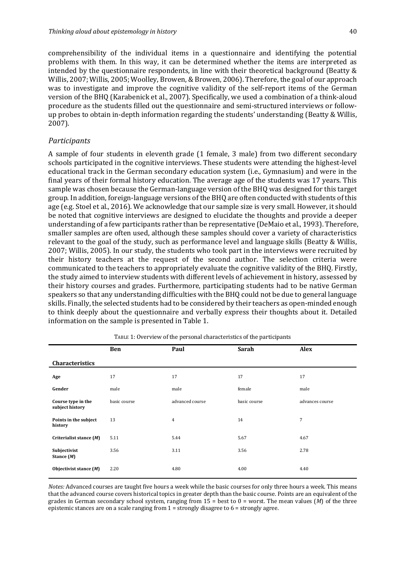comprehensibility of the individual items in a questionnaire and identifying the potential problems with them. In this way, it can be determined whether the items are interpreted as intended by the questionnaire respondents, in line with their theoretical background (Beatty  $&$ Willis, 2007; Willis, 2005; Woolley, Browen, & Browen, 2006). Therefore, the goal of our approach was to investigate and improve the cognitive validity of the self-report items of the German version of the BHQ (Karabenick et al., 2007). Specifically, we used a combination of a think-aloud procedure as the students filled out the questionnaire and semi-structured interviews or followup probes to obtain in-depth information regarding the students' understanding (Beatty & Willis, 2007). 

#### *Participants*

A sample of four students in eleventh grade (1 female, 3 male) from two different secondary schools participated in the cognitive interviews. These students were attending the highest-level educational track in the German secondary education system (i.e., Gymnasium) and were in the final years of their formal history education. The average age of the students was 17 years. This sample was chosen because the German-language version of the BHQ was designed for this target group. In addition, foreign-language versions of the BHQ are often conducted with students of this age (e.g. Stoel et al., 2016). We acknowledge that our sample size is very small. However, it should be noted that cognitive interviews are designed to elucidate the thoughts and provide a deeper understanding of a few participants rather than be representative (DeMaio et al., 1993). Therefore, smaller samples are often used, although these samples should cover a variety of characteristics relevant to the goal of the study, such as performance level and language skills (Beatty & Willis, 2007; Willis, 2005). In our study, the students who took part in the interviews were recruited by their history teachers at the request of the second author. The selection criteria were communicated to the teachers to appropriately evaluate the cognitive validity of the BHQ. Firstly, the study aimed to interview students with different levels of achievement in history, assessed by their history courses and grades. Furthermore, participating students had to be native German speakers so that any understanding difficulties with the BHQ could not be due to general language skills. Finally, the selected students had to be considered by their teachers as open-minded enough to think deeply about the questionnaire and verbally express their thoughts about it. Detailed information on the sample is presented in Table 1.

|                                       | <b>Ben</b>   | Paul            | <b>Sarah</b> | <b>Alex</b>     |
|---------------------------------------|--------------|-----------------|--------------|-----------------|
| <b>Characteristics</b>                |              |                 |              |                 |
| Age                                   | 17           | 17              | 17           | 17              |
| Gender                                | male         | male            | female       | male            |
| Course type in the<br>subject history | basic course | advanced course | basic course | advances course |
| Points in the subject<br>history      | 13           | $\overline{4}$  | 14           | 7               |
| Criterialist stance (M)               | 5.11         | 5.44            | 5.67         | 4.67            |
| Subjectivist<br>Stance $(M)$          | 3.56         | 3.11            | 3.56         | 2.78            |
| Objectivist stance $(M)$              | 2.20         | 4.80            | 4.00         | 4.40            |

TABLE 1: Overview of the personal characteristics of the participants

*Notes:* Advanced courses are taught five hours a week while the basic courses for only three hours a week. This means that the advanced course covers historical topics in greater depth than the basic course. Points are an equivalent of the grades in German secondary school system, ranging from  $15 = \text{best to } 0 = \text{worst.}$  The mean values (*M*) of the three epistemic stances are on a scale ranging from  $1 =$  strongly disagree to  $6 =$  strongly agree.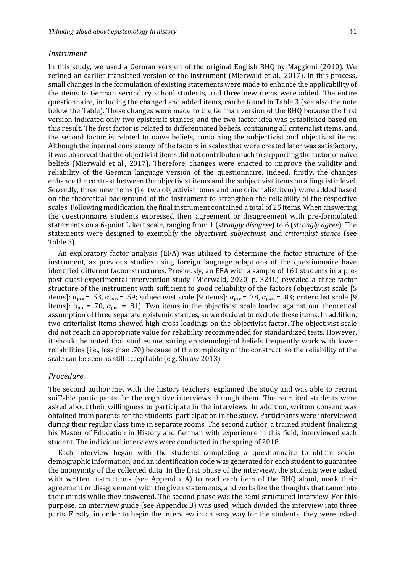#### *Instrument*

In this study, we used a German version of the original English BHQ by Maggioni (2010). We refined an earlier translated version of the instrument (Mierwald et al., 2017). In this process, small changes in the formulation of existing statements were made to enhance the applicability of the items to German secondary school students, and three new items were added. The entire questionnaire, including the changed and added items, can be found in Table 3 (see also the note below the Table). These changes were made to the German version of the BHQ because the first version indicated only two epistemic stances, and the two-factor idea was established based on this result. The first factor is related to differentiated beliefs, containing all criterialist items, and the second factor is related to naïve beliefs, containing the subjectivist and objectivist items. Although the internal consistency of the factors in scales that were created later was satisfactory, it was observed that the objectivist items did not contribute much to supporting the factor of naïve beliefs (Mierwald et al., 2017). Therefore, changes were enacted to improve the validity and reliability of the German language version of the questionnaire. Indeed, firstly, the changes enhance the contrast between the objectivist items and the subjectivist items on a linguistic level. Secondly, three new items (i.e. two objectivist items and one criterialist item) were added based on the theoretical background of the instrument to strengthen the reliability of the respective scales. Following modification, the final instrument contained a total of 25 items. When answering the questionnaire, students expressed their agreement or disagreement with pre-formulated statements on a 6-point Likert scale, ranging from 1 (*strongly disagree*) to 6 (*strongly agree*). The statements were designed to exemplify the *objectivist*, *subjectivist*, and *criterialist stance* (see Table 3). 

An exploratory factor analysis (EFA) was utilized to determine the factor structure of the instrument, as previous studies using foreign language adaptions of the questionnaire have identified different factor structures. Previously, an EFA with a sample of 161 students in a prepost quasi-experimental intervention study (Mierwald, 2020, p. 324f.) revealed a three-factor structure of the instrument with sufficient to good reliability of the factors (objectivist scale [5] items]:  $\alpha_{pre}$  = .53,  $\alpha_{post}$  = .59; subjectivist scale [9 items]:  $\alpha_{pre}$  = .78,  $\alpha_{post}$  = .83; criterialist scale [9 items]:  $\alpha_{pre}$  = .70,  $\alpha_{post}$  = .81). Two items in the objectivist scale loaded against our theoretical assumption of three separate epistemic stances, so we decided to exclude these items. In addition, two criterialist items showed high cross-loadings on the objectivist factor. The objectivist scale did not reach an appropriate value for reliability recommended for standardized tests. However, it should be noted that studies measuring epistemological beliefs frequently work with lower reliabilities (i.e., less than .70) because of the complexity of the construct, so the reliability of the scale can be seen as still accepTable (e.g. Shraw 2013).

#### *Procedure*

The second author met with the history teachers, explained the study and was able to recruit suiTable participants for the cognitive interviews through them. The recruited students were asked about their willingness to participate in the interviews. In addition, written consent was obtained from parents for the students' participation in the study. Participants were interviewed during their regular class time in separate rooms. The second author, a trained student finalizing his Master of Education in History and German with experience in this field, interviewed each student. The individual interviews were conducted in the spring of 2018.

Each interview began with the students completing a questionnaire to obtain sociodemographic information, and an identification code was generated for each student to guarantee the anonymity of the collected data. In the first phase of the interview, the students were asked with written instructions (see Appendix A) to read each item of the BHQ aloud, mark their agreement or disagreement with the given statements, and verbalize the thoughts that came into their minds while they answered. The second phase was the semi-structured interview. For this purpose, an interview guide (see Appendix B) was used, which divided the interview into three parts. Firstly, in order to begin the interview in an easy way for the students, they were asked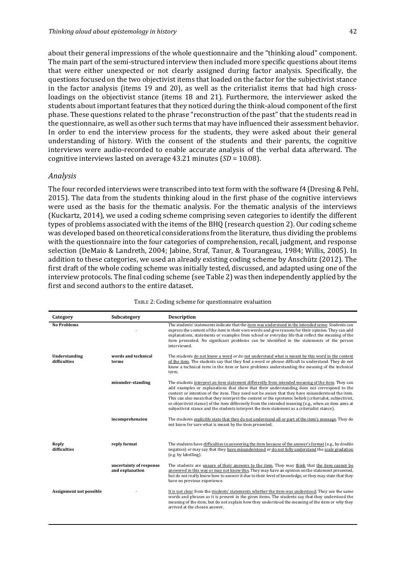about their general impressions of the whole questionnaire and the "thinking aloud" component. The main part of the semi-structured interview then included more specific questions about items that were either unexpected or not clearly assigned during factor analysis. Specifically, the questions focused on the two objectivist items that loaded on the factor for the subjectivist stance in the factor analysis (items 19 and 20), as well as the criterialist items that had high crossloadings on the objectivist stance (items 18 and 21). Furthermore, the interviewer asked the students about important features that they noticed during the think-aloud component of the first phase. These questions related to the phrase "reconstruction of the past" that the students read in the questionnaire, as well as other such terms that may have influenced their assessment behavior. In order to end the interview process for the students, they were asked about their general understanding of history. With the consent of the students and their parents, the cognitive interviews were audio-recorded to enable accurate analysis of the verbal data afterward. The cognitive interviews lasted on average 43.21 minutes (*SD* = 10.08).

#### *Analysis*

The four recorded interviews were transcribed into text form with the software f4 (Dresing & Pehl, 2015). The data from the students thinking aloud in the first phase of the cognitive interviews were used as the basis for the thematic analysis. For the thematic analysis of the interviews (Kuckartz, 2014), we used a coding scheme comprising seven categories to identify the different types of problems associated with the items of the BHQ (research question 2). Our coding scheme was developed based on theoretical considerations from the literature, thus dividing the problems with the questionnaire into the four categories of comprehension, recall, judgment, and response selection (DeMaio & Landreth, 2004; Jabine, Straf, Tanur, & Tourangeau, 1984; Willis, 2005). In addition to these categories, we used an already existing coding scheme by Anschütz (2012). The first draft of the whole coding scheme was initially tested, discussed, and adapted using one of the interview protocols. The final coding scheme (see Table 2) was then independently applied by the first and second authors to the entire dataset.

| Category                      | Subcategory                                | <b>Description</b>                                                                                                                                                                                                                                                                                                                                                                                                                                                                                                                                                                                                    |
|-------------------------------|--------------------------------------------|-----------------------------------------------------------------------------------------------------------------------------------------------------------------------------------------------------------------------------------------------------------------------------------------------------------------------------------------------------------------------------------------------------------------------------------------------------------------------------------------------------------------------------------------------------------------------------------------------------------------------|
| <b>No Problems</b>            |                                            | The students' statements indicate that the item was understood in the intended sense. Students can<br>express the content of the item in their own words and give reasons for their opinion. They can add<br>explanations, statements or examples from school or everyday life that reflect the meaning of the<br>item presented. No significant problems can be identified in the statements of the person<br>interviewed.                                                                                                                                                                                           |
| Understanding<br>difficulties | words and technical<br>terms               | The students do not know a word or do not understand what is meant by this word in the context<br>of the item. The students say that they find a word or phrase difficult to understand. They do not<br>know a technical term in the item or have problems understanding the meaning of the technical<br>term.                                                                                                                                                                                                                                                                                                        |
|                               | misunder-standing                          | The students interpret an item statement differently from intended meaning of the item. They can<br>add examples or explanations that show that their understanding does not correspond to the<br>content or intention of the item. They need not be aware that they have misunderstood the item.<br>This can also mean that they interpret the content or the epistemic beliefs (criterialist, subjectivist,<br>or objectivist stance) of the item differently from the intended meaning (e.g., when an item aims at<br>subjectivist stance and the students interpret the item statement as a criterialist stance). |
|                               | incomprehension                            | The students explicitly state that they do not understand all or part of the item's message. They do<br>not know for sure what is meant by the item presented.                                                                                                                                                                                                                                                                                                                                                                                                                                                        |
| Reply<br>difficulties         | reply format                               | The students have difficulties in answering the item because of the answer's format (e.g., by double<br>negation) or may say that they have misunderstood or do not fully understand the scale gradation<br>(e.g. by labelling).                                                                                                                                                                                                                                                                                                                                                                                      |
|                               | uncertainty of response<br>and explanation | The students are unsure of their answers to the item. They may think that the item cannot be<br>answered in this way or may not know this. They may have an opinion on the statement presented,<br>but do not really know how to answer it due to their level of knowledge, or they may state that they<br>have no previous experience.                                                                                                                                                                                                                                                                               |
| Assignment not possible       |                                            | It is not clear from the students' statements whether the item was understood. They use the same<br>words and phrases as it is present in the given items. The students say that they understood the<br>meaning of the item, but do not explain how they understood the meaning of the item or why they<br>arrived at the chosen answer.                                                                                                                                                                                                                                                                              |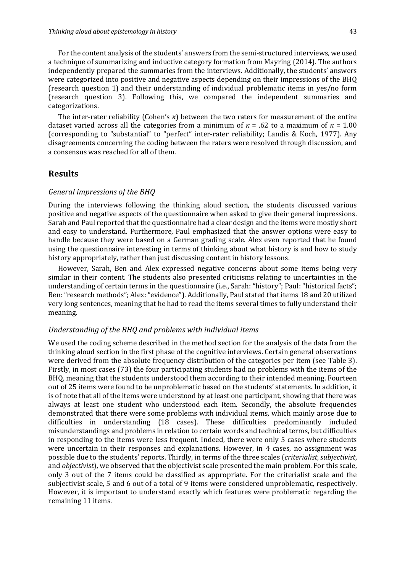For the content analysis of the students' answers from the semi-structured interviews, we used a technique of summarizing and inductive category formation from Mayring (2014). The authors independently prepared the summaries from the interviews. Additionally, the students' answers were categorized into positive and negative aspects depending on their impressions of the BHQ (research question 1) and their understanding of individual problematic items in yes/no form (research question 3). Following this, we compared the independent summaries and categorizations. 

The inter-rater reliability (Cohen's  $\kappa$ ) between the two raters for measurement of the entire dataset varied across all the categories from a minimum of  $\kappa$  = .62 to a maximum of  $\kappa$  = 1.00 (corresponding to "substantial" to "perfect" inter-rater reliability; Landis & Koch, 1977). Any disagreements concerning the coding between the raters were resolved through discussion, and a consensus was reached for all of them.

## **Results**

#### *General impressions of the BHQ*

During the interviews following the thinking aloud section, the students discussed various positive and negative aspects of the questionnaire when asked to give their general impressions. Sarah and Paul reported that the questionnaire had a clear design and the items were mostly short and easy to understand. Furthermore, Paul emphasized that the answer options were easy to handle because they were based on a German grading scale. Alex even reported that he found using the questionnaire interesting in terms of thinking about what history is and how to study history appropriately, rather than just discussing content in history lessons.

However, Sarah, Ben and Alex expressed negative concerns about some items being very similar in their content. The students also presented criticisms relating to uncertainties in the understanding of certain terms in the questionnaire (i.e., Sarah: "history"; Paul: "historical facts"; Ben: "research methods"; Alex: "evidence"). Additionally, Paul stated that items 18 and 20 utilized very long sentences, meaning that he had to read the items several times to fully understand their meaning.

#### Understanding of the BHQ and problems with individual items

We used the coding scheme described in the method section for the analysis of the data from the thinking aloud section in the first phase of the cognitive interviews. Certain general observations were derived from the absolute frequency distribution of the categories per item (see Table 3). Firstly, in most cases (73) the four participating students had no problems with the items of the BHQ, meaning that the students understood them according to their intended meaning. Fourteen out of 25 items were found to be unproblematic based on the students' statements. In addition, it is of note that all of the items were understood by at least one participant, showing that there was always at least one student who understood each item. Secondly, the absolute frequencies demonstrated that there were some problems with individual items, which mainly arose due to difficulties in understanding (18 cases). These difficulties predominantly included misunderstandings and problems in relation to certain words and technical terms, but difficulties in responding to the items were less frequent. Indeed, there were only 5 cases where students were uncertain in their responses and explanations. However, in 4 cases, no assignment was possible due to the students' reports. Thirdly, in terms of the three scales (*criterialist*, *subjectivist*, and *objectivist*), we observed that the objectivist scale presented the main problem. For this scale, only 3 out of the 7 items could be classified as appropriate. For the criterialist scale and the subjectivist scale, 5 and 6 out of a total of 9 items were considered unproblematic, respectively. However, it is important to understand exactly which features were problematic regarding the remaining 11 items.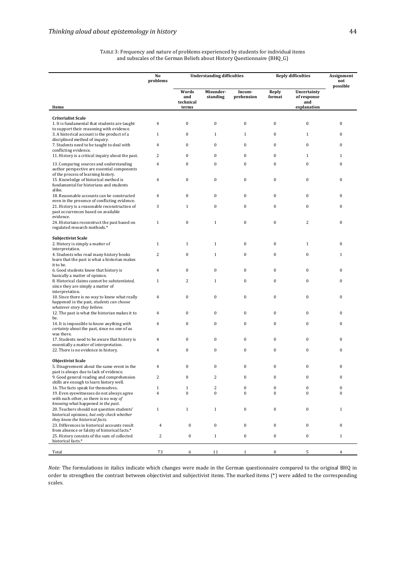**No problems** Understanding difficulties **Reply difficulties Assignment not possible Items Words and technical terms Misunderstanding Incomprehension Reply format Uncertainty**  $of$  response **and explanation Criterialist Scale** 1. It is fundamental that students are taught to support their reasoning with evidence 4 0 0 0 0 0 0 0 0 3. A historical account is the product of a disciplined method of inquiry. 1 0 1 1 0 1 0 7. Students need to be taught to deal with conflicting evidence. 4 0 0 0 0 0 0 0 0 11. History is a critical inquiry about the past.  $\begin{array}{cccc} 2 & 0 & 0 & 0 & 0 & 1 & 1 \end{array}$ 13. Comparing sources and understanding author perspective are essential components of the process of learning history. 4 0 0 0 0 0 0 0 0 15. Knowledge of historical method is fundamental for historians and students alike. 4 0 0 0 0 0 0 0 0 18. Reasonable accounts can be constructed even in the presence of conflicting evidence. 4 0 0 0 0 0 0 0 0 21. History is a reasonable reconstruction of past occurrences based on available evidence. 3 1 0 0 0 0 0 0 24. Historians reconstruct the past based on regulated research methods.\* 1 0 0 0 2 0 **Subjectivist Scale** 2. History is simply a matter of interpretation. 1 1 1 0 0 0 1 0 4. Students who read many history books learn that the past is what a historian makes it to be. 2 0 1 0 0 0 1 6. Good students know that history is basically a matter of opinion. 4 0 0 0 0 0 0 0 0 8. Historical claims cannot be *substantiated*, since they are simply a matter of interpretation. 1 2 1 0 0 0 0 10. Since there is no way to know what really happened in the past, *students can choose* whatever story they believe. 4 0 0 0 0 0 0 0 0 12. The past is what the historian makes it to be. 4 0 0 0 0 0 0 0 0 14. It is impossible to know anything *with certainty* about the past, since no one of us was there. 4 0 0 0 0 0 0 0 0 17. Students need to be aware that history is essentially a matter of interpretation. 4 0 0 0 0 0 0 0 0 22. There is no evidence in history.  $\begin{pmatrix} 4 & 0 & 0 & 0 & 0 \\ 0 & 0 & 0 & 0 \\ 0 & 0 & 0 & 0 \\ 0 & 0 & 0 & 0 \\ 0 & 0 & 0 & 0 \\ 0 & 0 & 0 & 0 \\ 0 & 0 & 0 & 0 \\ 0 & 0 & 0 & 0 \\ 0 & 0 & 0 & 0 \\ 0 & 0 & 0 & 0 \\ 0 & 0 & 0 & 0 \\ 0 & 0 & 0 & 0 \\ 0 & 0 & 0 & 0 \\ 0 & 0 & 0 & 0 \\ 0 & 0 &$ **Objectivist Scale** 5. Disagreement about the same event in the past is always due to lack of evidence. 4 0 0 0 0 0 0 0 0 9. Good general reading and comprehension skills are enough to learn history well. 2 0 2 0 0 0 0 0 16. The facts speak for themselves.<br>
16. The facts speak for themselves.<br>
16. The facts speak for themselves.<br>
16. The facts speak for themselves.<br>
16. The facts speak for themselves.<br>
16. The facts speak for themselves.<br> 19. Even eyewitnesses do not always agree with each other, so there is no way of *knowing* what happened *in the past*. 4 0 0 0 0 0 0 0 0 20. Teachers should not question students' historical opinions, but only check whether *they know the historical facts.* 1 1 0 0 0 1 23. Differences in historical accounts result<br>from absence or falsity of historical facts.\* 4 0 0 0 0 0 0 0 0 25. History consists of the sum of collected historical facts.<sup>\*</sup> 2 0 1 0 0 0 1 Total 73 6 11 1 0 5 4

TABLE 3: Frequency and nature of problems experienced by students for individual items and subscales of the German Beliefs about History Questionnaire (BHQ\_G)

*Note:* The formulations in italics indicate which changes were made in the German questionnaire compared to the original BHQ in order to strengthen the contrast between objectivist and subjectivist items. The marked items (\*) were added to the corresponding scales.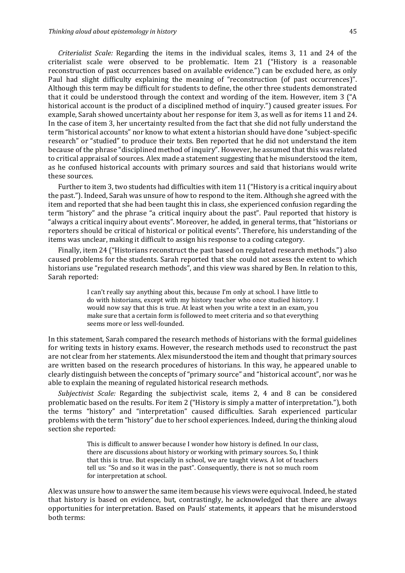*Criterialist Scale:* Regarding the items in the individual scales, items 3, 11 and 24 of the criterialist scale were observed to be problematic. Item 21 ("History is a reasonable reconstruction of past occurrences based on available evidence.") can be excluded here, as only Paul had slight difficulty explaining the meaning of "reconstruction (of past occurrences)". Although this term may be difficult for students to define, the other three students demonstrated that it could be understood through the context and wording of the item. However, item 3  $\degree$  ("A) historical account is the product of a disciplined method of inquiry.") caused greater issues. For example, Sarah showed uncertainty about her response for item 3, as well as for items 11 and 24. In the case of item 3, her uncertainty resulted from the fact that she did not fully understand the term "historical accounts" nor know to what extent a historian should have done "subject-specific research" or "studied" to produce their texts. Ben reported that he did not understand the item because of the phrase "disciplined method of inquiry". However, he assumed that this was related to critical appraisal of sources. Alex made a statement suggesting that he misunderstood the item, as he confused historical accounts with primary sources and said that historians would write these sources.

Further to item 3, two students had difficulties with item 11 ("History is a critical inquiry about the past."). Indeed, Sarah was unsure of how to respond to the item. Although she agreed with the item and reported that she had been taught this in class, she experienced confusion regarding the term "history" and the phrase "a critical inquiry about the past". Paul reported that history is "always a critical inquiry about events". Moreover, he added, in general terms, that "historians or reporters should be critical of historical or political events". Therefore, his understanding of the items was unclear, making it difficult to assign his response to a coding category.

Finally, item 24 ("Historians reconstruct the past based on regulated research methods.") also caused problems for the students. Sarah reported that she could not assess the extent to which historians use "regulated research methods", and this view was shared by Ben. In relation to this, Sarah reported:

> I can't really say anything about this, because I'm only at school. I have little to do with historians, except with my history teacher who once studied history. I would now say that this is true. At least when you write a text in an exam, you make sure that a certain form is followed to meet criteria and so that everything seems more or less well-founded.

In this statement, Sarah compared the research methods of historians with the formal guidelines for writing texts in history exams. However, the research methods used to reconstruct the past are not clear from her statements. Alex misunderstood the item and thought that primary sources are written based on the research procedures of historians. In this way, he appeared unable to clearly distinguish between the concepts of "primary source" and "historical account", nor was he able to explain the meaning of regulated historical research methods.

*Subjectivist Scale:* Regarding the subjectivist scale, items 2, 4 and 8 can be considered problematic based on the results. For item 2 ("History is simply a matter of interpretation."), both the terms "history" and "interpretation" caused difficulties. Sarah experienced particular problems with the term "history" due to her school experiences. Indeed, during the thinking aloud section she reported:

> This is difficult to answer because I wonder how history is defined. In our class, there are discussions about history or working with primary sources. So, I think that this is true. But especially in school, we are taught views. A lot of teachers tell us: "So and so it was in the past". Consequently, there is not so much room for interpretation at school.

Alex was unsure how to answer the same item because his views were equivocal. Indeed, he stated that history is based on evidence, but, contrastingly, he acknowledged that there are always opportunities for interpretation. Based on Pauls' statements, it appears that he misunderstood both terms: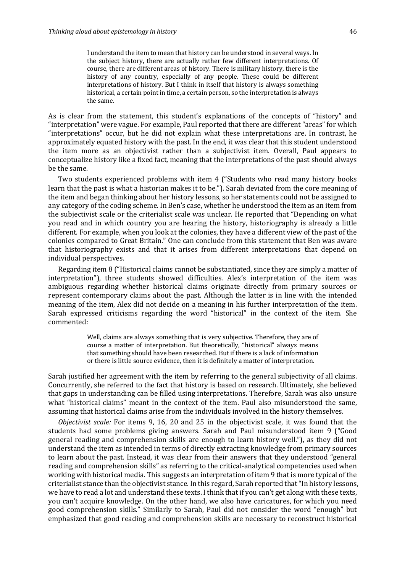I understand the item to mean that history can be understood in several ways. In the subject history, there are actually rather few different interpretations. Of course, there are different areas of history. There is military history, there is the history of any country, especially of any people. These could be different interpretations of history. But I think in itself that history is always something historical, a certain point in time, a certain person, so the interpretation is always the same.

As is clear from the statement, this student's explanations of the concepts of "history" and "interpretation" were vague. For example, Paul reported that there are different "areas" for which "interpretations" occur, but he did not explain what these interpretations are. In contrast, he approximately equated history with the past. In the end, it was clear that this student understood the item more as an objectivist rather than a subjectivist item. Overall, Paul appears to conceptualize history like a fixed fact, meaning that the interpretations of the past should always be the same.

Two students experienced problems with item 4 ("Students who read many history books learn that the past is what a historian makes it to be."). Sarah deviated from the core meaning of the item and began thinking about her history lessons, so her statements could not be assigned to any category of the coding scheme. In Ben's case, whether he understood the item as an item from the subjectivist scale or the criterialist scale was unclear. He reported that "Depending on what you read and in which country you are hearing the history, historiography is already a little different. For example, when you look at the colonies, they have a different view of the past of the colonies compared to Great Britain." One can conclude from this statement that Ben was aware that historiography exists and that it arises from different interpretations that depend on individual perspectives.

Regarding item 8 ("Historical claims cannot be substantiated, since they are simply a matter of interpretation"), three students showed difficulties. Alex's interpretation of the item was ambiguous regarding whether historical claims originate directly from primary sources or represent contemporary claims about the past. Although the latter is in line with the intended meaning of the item, Alex did not decide on a meaning in his further interpretation of the item. Sarah expressed criticisms regarding the word "historical" in the context of the item. She commented: 

> Well, claims are always something that is very subjective. Therefore, they are of course a matter of interpretation. But theoretically, "historical" always means that something should have been researched. But if there is a lack of information or there is little source evidence, then it is definitely a matter of interpretation.

Sarah justified her agreement with the item by referring to the general subjectivity of all claims. Concurrently, she referred to the fact that history is based on research. Ultimately, she believed that gaps in understanding can be filled using interpretations. Therefore, Sarah was also unsure what "historical claims" meant in the context of the item. Paul also misunderstood the same, assuming that historical claims arise from the individuals involved in the history themselves.

*Objectivist scale:* For items 9, 16, 20 and 25 in the objectivist scale, it was found that the students had some problems giving answers. Sarah and Paul misunderstood item 9 ("Good general reading and comprehension skills are enough to learn history well."), as they did not understand the item as intended in terms of directly extracting knowledge from primary sources to learn about the past. Instead, it was clear from their answers that they understood "general reading and comprehension skills" as referring to the critical-analytical competencies used when working with historical media. This suggests an interpretation of item 9 that is more typical of the criterialist stance than the objectivist stance. In this regard, Sarah reported that "In history lessons, we have to read a lot and understand these texts. I think that if you can't get along with these texts, you can't acquire knowledge. On the other hand, we also have caricatures, for which you need good comprehension skills." Similarly to Sarah, Paul did not consider the word "enough" but emphasized that good reading and comprehension skills are necessary to reconstruct historical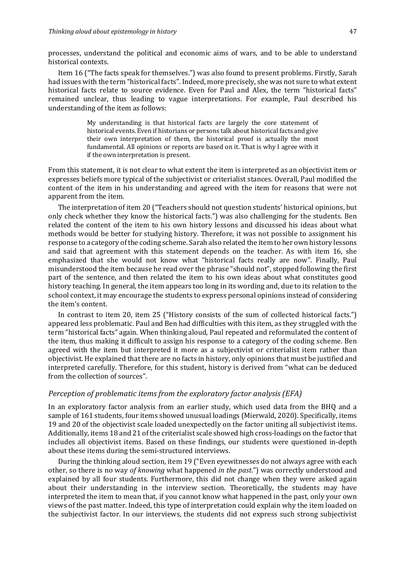processes, understand the political and economic aims of wars, and to be able to understand historical contexts.

Item 16 ("The facts speak for themselves.") was also found to present problems. Firstly, Sarah had issues with the term "historical facts". Indeed, more precisely, she was not sure to what extent historical facts relate to source evidence. Even for Paul and Alex, the term "historical facts" remained unclear, thus leading to vague interpretations. For example, Paul described his understanding of the item as follows:

> My understanding is that historical facts are largely the core statement of historical events. Even if historians or persons talk about historical facts and give their own interpretation of them, the historical proof is actually the most fundamental. All opinions or reports are based on it. That is why I agree with it if the own interpretation is present.

From this statement, it is not clear to what extent the item is interpreted as an objectivist item or expresses beliefs more typical of the subjectivist or criterialist stances. Overall, Paul modified the content of the item in his understanding and agreed with the item for reasons that were not apparent from the item.

The interpretation of item 20 ("Teachers should not question students' historical opinions, but only check whether they know the historical facts.") was also challenging for the students. Ben related the content of the item to his own history lessons and discussed his ideas about what methods would be better for studying history. Therefore, it was not possible to assignment his response to a category of the coding scheme. Sarah also related the item to her own history lessons and said that agreement with this statement depends on the teacher. As with item 16, she emphasized that she would not know what "historical facts really are now". Finally, Paul misunderstood the item because he read over the phrase "should not", stopped following the first part of the sentence, and then related the item to his own ideas about what constitutes good history teaching. In general, the item appears too long in its wording and, due to its relation to the school context, it may encourage the students to express personal opinions instead of considering the item's content.

In contrast to item 20, item 25 ("History consists of the sum of collected historical facts.") appeared less problematic. Paul and Ben had difficulties with this item, as they struggled with the term "historical facts" again. When thinking aloud, Paul repeated and reformulated the content of the item, thus making it difficult to assign his response to a category of the coding scheme. Ben agreed with the item but interpreted it more as a subjectivist or criterialist item rather than objectivist. He explained that there are no facts in history, only opinions that must be justified and interpreted carefully. Therefore, for this student, history is derived from "what can be deduced from the collection of sources".

#### *Perception of problematic items from the exploratory factor analysis (EFA)*

In an exploratory factor analysis from an earlier study, which used data from the BHQ and a sample of 161 students, four items showed unusual loadings (Mierwald, 2020). Specifically, items 19 and 20 of the objectivist scale loaded unexpectedly on the factor uniting all subjectivist items. Additionally, items 18 and 21 of the criterialist scale showed high cross-loadings on the factor that includes all objectivist items. Based on these findings, our students were questioned in-depth about these items during the semi-structured interviews.

During the thinking aloud section, item 19 ("Even eyewitnesses do not always agree with each other, so there is no way of knowing what happened in the past.") was correctly understood and explained by all four students. Furthermore, this did not change when they were asked again about their understanding in the interview section. Theoretically, the students may have interpreted the item to mean that, if you cannot know what happened in the past, only your own views of the past matter. Indeed, this type of interpretation could explain why the item loaded on the subjectivist factor. In our interviews, the students did not express such strong subjectivist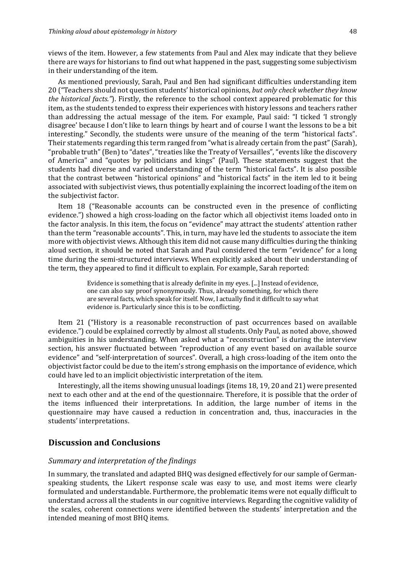views of the item. However, a few statements from Paul and Alex may indicate that they believe there are ways for historians to find out what happened in the past, suggesting some subjectivism in their understanding of the item.

As mentioned previously, Sarah, Paul and Ben had significant difficulties understanding item 20 ("Teachers should not question students' historical opinions, *but only check whether they know the historical facts."*). Firstly, the reference to the school context appeared problematic for this item, as the students tended to express their experiences with history lessons and teachers rather than addressing the actual message of the item. For example, Paul said: "I ticked 'I strongly disagree' because I don't like to learn things by heart and of course I want the lessons to be a bit interesting." Secondly, the students were unsure of the meaning of the term "historical facts". Their statements regarding this term ranged from "what is already certain from the past" (Sarah), "probable truth" (Ben) to "dates", "treaties like the Treaty of Versailles", "events like the discovery of America" and "quotes by politicians and kings" (Paul). These statements suggest that the students had diverse and varied understanding of the term "historical facts". It is also possible that the contrast between "historical opinions" and "historical facts" in the item led to it being associated with subjectivist views, thus potentially explaining the incorrect loading of the item on the subjectivist factor.

Item 18 ("Reasonable accounts can be constructed even in the presence of conflicting evidence.") showed a high cross-loading on the factor which all objectivist items loaded onto in the factor analysis. In this item, the focus on "evidence" may attract the students' attention rather than the term "reasonable accounts". This, in turn, may have led the students to associate the item more with objectivist views. Although this item did not cause many difficulties during the thinking aloud section, it should be noted that Sarah and Paul considered the term "evidence" for a long time during the semi-structured interviews. When explicitly asked about their understanding of the term, they appeared to find it difficult to explain. For example, Sarah reported:

> Evidence is something that is already definite in my eves.  $\left[\ldots\right]$  Instead of evidence, one can also say proof synonymously. Thus, already something, for which there are several facts, which speak for itself. Now, I actually find it difficult to say what evidence is. Particularly since this is to be conflicting.

Item 21 ("History is a reasonable reconstruction of past occurrences based on available evidence.") could be explained correctly by almost all students. Only Paul, as noted above, showed ambiguities in his understanding. When asked what a "reconstruction" is during the interview section, his answer fluctuated between "reproduction of any event based on available source evidence" and "self-interpretation of sources". Overall, a high cross-loading of the item onto the objectivist factor could be due to the item's strong emphasis on the importance of evidence, which could have led to an implicit objectivistic interpretation of the item.

Interestingly, all the items showing unusual loadings (items  $18, 19, 20$  and  $21$ ) were presented next to each other and at the end of the questionnaire. Therefore, it is possible that the order of the items influenced their interpretations. In addition, the large number of items in the questionnaire may have caused a reduction in concentration and, thus, inaccuracies in the students' interpretations.

## **Discussion and Conclusions**

#### *Summary and interpretation of the findings*

In summary, the translated and adapted BHQ was designed effectively for our sample of Germanspeaking students, the Likert response scale was easy to use, and most items were clearly formulated and understandable. Furthermore, the problematic items were not equally difficult to understand across all the students in our cognitive interviews. Regarding the cognitive validity of the scales, coherent connections were identified between the students' interpretation and the intended meaning of most BHQ items.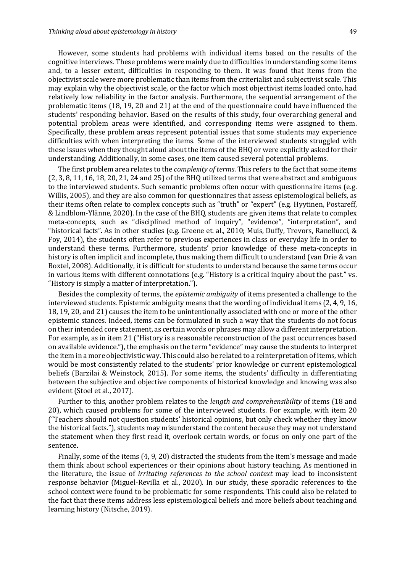However, some students had problems with individual items based on the results of the cognitive interviews. These problems were mainly due to difficulties in understanding some items and, to a lesser extent, difficulties in responding to them. It was found that items from the objectivist scale were more problematic than items from the criterialist and subjectivist scale. This may explain why the objectivist scale, or the factor which most objectivist items loaded onto, had relatively low reliability in the factor analysis. Furthermore, the sequential arrangement of the problematic items  $(18, 19, 20 \text{ and } 21)$  at the end of the questionnaire could have influenced the students' responding behavior. Based on the results of this study, four overarching general and potential problem areas were identified, and corresponding items were assigned to them. Specifically, these problem areas represent potential issues that some students may experience difficulties with when interpreting the items. Some of the interviewed students struggled with these issues when they thought aloud about the items of the BHQ or were explicitly asked for their understanding. Additionally, in some cases, one item caused several potential problems.

The first problem area relates to the *complexity of terms*. This refers to the fact that some items  $(2, 3, 8, 11, 16, 18, 20, 21, 24, and 25)$  of the BHQ utilized terms that were abstract and ambiguous to the interviewed students. Such semantic problems often occur with questionnaire items (e.g. Willis, 2005), and they are also common for questionnaires that assess epistemological beliefs, as their items often relate to complex concepts such as "truth" or "expert" (e.g. Hyytinen, Postareff, & Lindblom-Ylänne, 2020). In the case of the BHQ, students are given items that relate to complex meta-concepts, such as "disciplined method of inquiry", "evidence", "interpretation", and "historical facts". As in other studies (e.g. Greene et. al., 2010; Muis, Duffy, Trevors, Ranellucci, & Foy, 2014), the students often refer to previous experiences in class or everyday life in order to understand these terms. Furthermore, students' prior knowledge of these meta-concepts in history is often implicit and incomplete, thus making them difficult to understand (van Drie & van Boxtel, 2008). Additionally, it is difficult for students to understand because the same terms occur in various items with different connotations  $(e.g., "History is a critical inquiry about the past." vs.$ "History is simply a matter of interpretation.").

Besides the complexity of terms, the *epistemic ambiguity* of items presented a challenge to the interviewed students. Epistemic ambiguity means that the wording of individual items  $(2, 4, 9, 16, 16)$ 18, 19, 20, and 21) causes the item to be unintentionally associated with one or more of the other epistemic stances. Indeed, items can be formulated in such a way that the students do not focus on their intended core statement, as certain words or phrases may allow a different interpretation. For example, as in item 21 ("History is a reasonable reconstruction of the past occurrences based on available evidence."), the emphasis on the term "evidence" may cause the students to interpret the item in a more objectivistic way. This could also be related to a reinterpretation of items, which would be most consistently related to the students' prior knowledge or current epistemological beliefs (Barzilai & Weinstock, 2015). For some items, the students' difficulty in differentiating between the subjective and objective components of historical knowledge and knowing was also evident (Stoel et al., 2017).

Further to this, another problem relates to the *length and comprehensibility* of items (18 and 20), which caused problems for some of the interviewed students. For example, with item 20 ("Teachers should not question students' historical opinions, but only check whether they know the historical facts."), students may misunderstand the content because they may not understand the statement when they first read it, overlook certain words, or focus on only one part of the sentence. 

Finally, some of the items  $(4, 9, 20)$  distracted the students from the item's message and made them think about school experiences or their opinions about history teaching. As mentioned in the literature, the issue of *irritating references to the school context* may lead to inconsistent response behavior (Miguel-Revilla et al., 2020). In our study, these sporadic references to the school context were found to be problematic for some respondents. This could also be related to the fact that these items address less epistemological beliefs and more beliefs about teaching and learning history (Nitsche, 2019).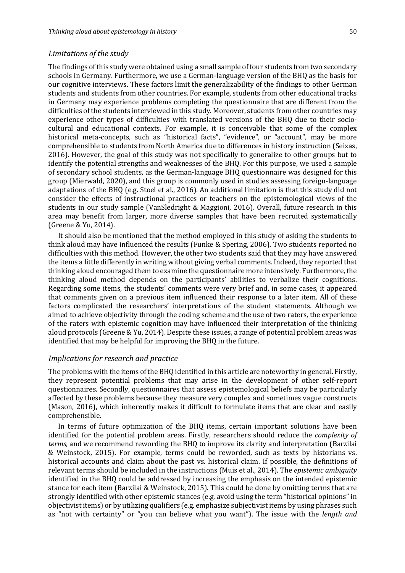#### *Limitations of the study*

The findings of this study were obtained using a small sample of four students from two secondary schools in Germany. Furthermore, we use a German-language version of the BHQ as the basis for our cognitive interviews. These factors limit the generalizability of the findings to other German students and students from other countries. For example, students from other educational tracks in Germany may experience problems completing the questionnaire that are different from the difficulties of the students interviewed in this study. Moreover, students from other countries may experience other types of difficulties with translated versions of the BHQ due to their sociocultural and educational contexts. For example, it is conceivable that some of the complex historical meta-concepts, such as "historical facts", "evidence", or "account", may be more comprehensible to students from North America due to differences in history instruction (Seixas, 2016). However, the goal of this study was not specifically to generalize to other groups but to identify the potential strengths and weaknesses of the BHQ. For this purpose, we used a sample of secondary school students, as the German-language BHQ questionnaire was designed for this group (Mierwald, 2020), and this group is commonly used in studies assessing foreign-language adaptations of the BHQ (e.g. Stoel et al., 2016). An additional limitation is that this study did not consider the effects of instructional practices or teachers on the epistemological views of the students in our study sample (VanSledright & Maggioni, 2016). Overall, future research in this area may benefit from larger, more diverse samples that have been recruited systematically (Greene & Yu, 2014).

It should also be mentioned that the method employed in this study of asking the students to think aloud may have influenced the results (Funke  $&$  Spering, 2006). Two students reported no difficulties with this method. However, the other two students said that they may have answered the items a little differently in writing without giving verbal comments. Indeed, they reported that thinking aloud encouraged them to examine the questionnaire more intensively. Furthermore, the thinking aloud method depends on the participants' abilities to verbalize their cognitions. Regarding some items, the students' comments were very brief and, in some cases, it appeared that comments given on a previous item influenced their response to a later item. All of these factors complicated the researchers' interpretations of the student statements. Although we aimed to achieve objectivity through the coding scheme and the use of two raters, the experience of the raters with epistemic cognition may have influenced their interpretation of the thinking aloud protocols (Greene & Yu, 2014). Despite these issues, a range of potential problem areas was identified that may be helpful for improving the BHQ in the future.

#### *Implications for research and practice*

The problems with the items of the BHQ identified in this article are noteworthy in general. Firstly, they represent potential problems that may arise in the development of other self-report questionnaires. Secondly, questionnaires that assess epistemological beliefs may be particularly affected by these problems because they measure very complex and sometimes vague constructs (Mason, 2016), which inherently makes it difficult to formulate items that are clear and easily comprehensible.

In terms of future optimization of the BHQ items, certain important solutions have been identified for the potential problem areas. Firstly, researchers should reduce the *complexity of terms*, and we recommend rewording the BHQ to improve its clarity and interpretation (Barzilai & Weinstock, 2015). For example, terms could be reworded, such as texts by historians vs. historical accounts and claim about the past vs. historical claim. If possible, the definitions of relevant terms should be included in the instructions (Muis et al., 2014). The *epistemic ambiguity* identified in the BHQ could be addressed by increasing the emphasis on the intended epistemic stance for each item (Barzilai & Weinstock, 2015). This could be done by omitting terms that are strongly identified with other epistemic stances (e.g. avoid using the term "historical opinions" in objectivist items) or by utilizing qualifiers (e.g. emphasize subjectivist items by using phrases such as "not with certainty" or "you can believe what you want"). The issue with the *length and*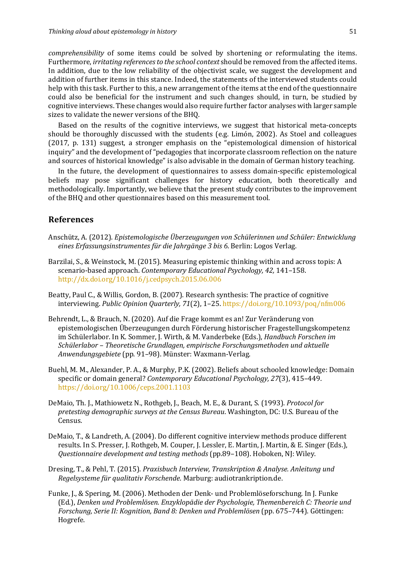*comprehensibility* of some items could be solved by shortening or reformulating the items. Furthermore, *irritating references to the school context* should be removed from the affected items. In addition, due to the low reliability of the objectivist scale, we suggest the development and addition of further items in this stance. Indeed, the statements of the interviewed students could help with this task. Further to this, a new arrangement of the items at the end of the questionnaire could also be beneficial for the instrument and such changes should, in turn, be studied by cognitive interviews. These changes would also require further factor analyses with larger sample sizes to validate the newer versions of the BHQ.

Based on the results of the cognitive interviews, we suggest that historical meta-concepts should be thoroughly discussed with the students (e.g. Limón, 2002). As Stoel and colleagues (2017, p. 131) suggest, a stronger emphasis on the "epistemological dimension of historical inquiry" and the development of "pedagogies that incorporate classroom reflection on the nature and sources of historical knowledge" is also advisable in the domain of German history teaching.

In the future, the development of questionnaires to assess domain-specific epistemological beliefs may pose significant challenges for history education, both theoretically and methodologically. Importantly, we believe that the present study contributes to the improvement of the BHQ and other questionnaires based on this measurement tool.

## **References**

- Anschütz, A. (2012). *Epistemologische Überzeugungen von Schülerinnen und Schüler: Entwicklung* eines Erfassungsinstrumentes für die Jahrgänge 3 bis 6. Berlin: Logos Verlag.
- Barzilai, S., & Weinstock, M. (2015). Measuring epistemic thinking within and across topis: A scenario-based approach. *Contemporary Educational Psychology, 42,* 141-158. http://dx.doi.org/10.1016/j.cedpsych.2015.06.006
- Beatty, Paul C., & Willis, Gordon, B. (2007). Research synthesis: The practice of cognitive interviewing. *Public Opinion Quarterly, 71*(2), 1–25. https://doi.org/10.1093/poq/nfm006
- Behrendt, L., & Brauch, N. (2020). Auf die Frage kommt es an! Zur Veränderung von epistemologischen Überzeugungen durch Förderung historischer Fragestellungskompetenz im Schülerlabor. In K. Sommer, J. Wirth, & M. Vanderbeke (Eds.), *Handbuch Forschen im* Schülerlabor - Theoretische Grundlagen, empirische Forschungsmethoden und aktuelle *Anwendungsgebiete* (pp. 91–98). Münster: Waxmann-Verlag.
- Buehl, M. M., Alexander, P. A., & Murphy, P.K. (2002). Beliefs about schooled knowledge: Domain specific or domain general? *Contemporary Educational Psychology, 27*(3), 415–449. https://doi.org/10.1006/ceps.2001.1103
- DeMaio, Th. J., Mathiowetz N., Rothgeb, J., Beach, M. E., & Durant, S. (1993). Protocol for *pretesting demographic surveys at the Census Bureau.* Washington, DC: U.S. Bureau of the Census.
- DeMaio, T., & Landreth, A. (2004). Do different cognitive interview methods produce different results. In S. Presser, J. Rothgeb, M. Couper, J. Lessler, E. Martin, J. Martin, & E. Singer (Eds.), *Questionnaire development and testing methods* (pp.89-108). Hoboken, NJ: Wiley.
- Dresing, T., & Pehl, T. (2015). *Praxisbuch Interview, Transkription & Analyse. Anleitung und Regelsysteme für qualitativ Forschende*. Marburg: audiotrankription.de.
- Funke, J., & Spering, M. (2006). Methoden der Denk- und Problemlöseforschung. In J. Funke (Ed.), Denken und Problemlösen. Enzyklopädie der Psychologie, Themenbereich C: Theorie und *Forschung, Serie II: Kognition, Band 8: Denken und Problemlösen* (pp. 675–744). Göttingen: Hogrefe.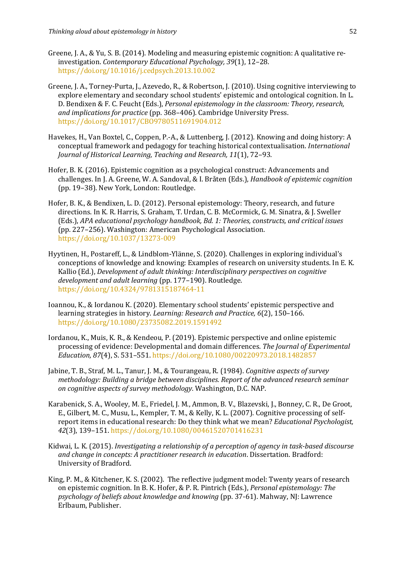- Greene, J. A., & Yu, S. B. (2014). Modeling and measuring epistemic cognition: A qualitative reinvestigation. *Contemporary Educational Psychology*, 39(1), 12–28. https://doi.org/10.1016/j.cedpsych.2013.10.002
- Greene, J. A., Torney-Purta, J., Azevedo, R., & Robertson, J. (2010). Using cognitive interviewing to explore elementary and secondary school students' epistemic and ontological cognition. In L. D. Bendixen & F. C. Feucht (Eds.), *Personal epistemology in the classroom: Theory, research,* and *implications for practice* (pp. 368–406). Cambridge University Press. https://doi.org/10.1017/CBO9780511691904.012
- Havekes, H., Van Boxtel, C., Coppen, P.-A., & Luttenberg, J. (2012). Knowing and doing history: A conceptual framework and pedagogy for teaching historical contextualisation. *International Journal of Historical Learning, Teaching and Research, 11*(1), 72–93.
- Hofer, B. K. (2016). Epistemic cognition as a psychological construct: Advancements and challenges. In J. A. Greene, W. A. Sandoval, & I. Bråten (Eds.), *Handbook of epistemic cognition* (pp. 19-38). New York, London: Routledge.
- Hofer, B. K., & Bendixen, L. D. (2012). Personal epistemology: Theory, research, and future directions. In K. R. Harris, S. Graham, T. Urdan, C. B. McCormick, G. M. Sinatra, & J. Sweller (Eds.), *APA educational psychology handbook, Bd. 1: Theories, constructs, and critical issues* (pp. 227–256). Washington: American Psychological Association. https://doi.org/10.1037/13273-009
- Hyytinen, H., Postareff, L., & Lindblom-Ylänne, S. (2020). Challenges in exploring individual's conceptions of knowledge and knowing: Examples of research on university students. In E. K. Kallio (Ed.), *Development of adult thinking: Interdisciplinary perspectives on cognitive development and adult learning* (pp. 177-190). Routledge. https://doi.org/10.4324/9781315187464-11
- Ioannou, K., & Iordanou K. (2020). Elementary school students' epistemic perspective and learning strategies in history. *Learning: Research and Practice,* 6(2), 150-166. https://doi.org/10.1080/23735082.2019.1591492
- Iordanou, K., Muis, K. R., & Kendeou, P. (2019). Epistemic perspective and online epistemic processing of evidence: Developmental and domain differences. The *Journal of Experimental Education, 87*(4), S. 531–551. https://doi.org/10.1080/00220973.2018.1482857
- Jabine, T. B., Straf, M. L., Tanur, J. M., & Tourangeau, R. (1984). *Cognitive aspects of survey methodology: Building a bridge between disciplines. Report of the advanced research seminar on cognitive aspects of survey methodology.* Washington, D.C. NAP.
- Karabenick, S. A., Wooley, M. E., Friedel, J. M., Ammon, B. V., Blazevski, J., Bonney, C. R., De Groot, E., Gilbert, M. C., Musu, L., Kempler, T. M., & Kelly, K. L. (2007). Cognitive processing of selfreport items in educational research: Do they think what we mean? *Educational Psychologist*, *42*(3), 139–151. https://doi.org/10.1080/00461520701416231
- Kidwai, L. K. (2015). *Investigating a relationship of a perception of agency in task-based discourse and change in concepts: A practitioner research in education.* Dissertation. Bradford: University of Bradford.
- King, P. M., & Kitchener, K. S. (2002). The reflective judgment model: Twenty years of research on epistemic cognition. In B. K. Hofer, & P. R. Pintrich (Eds.), *Personal epistemology: The psychology of beliefs about knowledge and knowing* (pp. 37-61). Mahway, NJ: Lawrence Erlbaum, Publisher.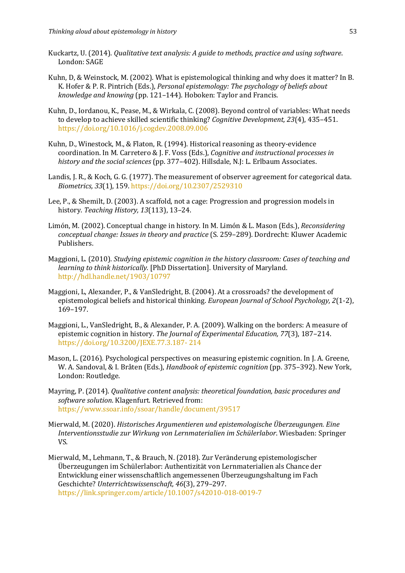- Kuckartz, U. (2014). *Qualitative text analysis: A guide to methods, practice and using software.* London: SAGE
- Kuhn, D, & Weinstock, M. (2002). What is epistemological thinking and why does it matter? In B. K. Hofer & P. R. Pintrich (Eds.), *Personal epistemology: The psychology of beliefs about knowledge and knowing* (pp. 121–144). Hoboken: Taylor and Francis.
- Kuhn, D., Iordanou, K., Pease, M., & Wirkala, C. (2008). Beyond control of variables: What needs to develop to achieve skilled scientific thinking? *Cognitive Development, 23*(4), 435-451. https://doi.org/10.1016/j.cogdev.2008.09.006
- Kuhn, D., Winestock, M., & Flaton, R. (1994). Historical reasoning as theory-evidence coordination. In M. Carretero & J. F. Voss (Eds.), *Cognitive and instructional processes in* history and the social sciences (pp. 377–402). Hillsdale, N.J: L. Erlbaum Associates.
- Landis, J. R., & Koch, G. G. (1977). The measurement of observer agreement for categorical data. *Biometrics, 33*(1), 159. https://doi.org/10.2307/2529310
- Lee, P., & Shemilt, D. (2003). A scaffold, not a cage: Progression and progression models in history. Teaching History, 13(113), 13-24.
- Limón, M. (2002). Conceptual change in history. In M. Limón & L. Mason (Eds.), *Reconsidering* conceptual change: Issues in theory and practice (S. 259-289). Dordrecht: Kluwer Academic Publishers.
- Maggioni, L. (2010). *Studying epistemic cognition in the history classroom: Cases of teaching and learning to think historically.* [PhD Dissertation]. University of Maryland. http://hdl.handle.net/1903/10797
- Maggioni, L, Alexander, P., & VanSledright, B. (2004). At a crossroads? the development of epistemological beliefs and historical thinking. *European Journal of School Psychology*, 2(1-2), 169–197.
- Maggioni, L., VanSledright, B., & Alexander, P. A. (2009). Walking on the borders: A measure of epistemic cognition in history. *The Journal of Experimental Education*, 77(3), 187-214. https://doi.org/10.3200/JEXE.77.3.187- 214
- Mason, L. (2016). Psychological perspectives on measuring epistemic cognition. In J. A. Greene, W. A. Sandoval, & I. Bråten (Eds.), *Handbook of epistemic cognition* (pp. 375–392). New York, London: Routledge.
- Mayring, P. (2014). *Qualitative content analysis: theoretical foundation, basic procedures and* software solution. Klagenfurt. Retrieved from: https://www.ssoar.info/ssoar/handle/document/39517
- Mierwald, M. (2020). *Historisches Argumentieren und epistemologische Überzeugungen. Eine Interventionsstudie zur Wirkung von Lernmaterialien im Schülerlabor*. Wiesbaden: Springer VS.
- Mierwald, M., Lehmann, T., & Brauch, N. (2018). Zur Veränderung epistemologischer Überzeugungen im Schülerlabor: Authentizität von Lernmaterialien als Chance der Entwicklung einer wissenschaftlich angemessenen Überzeugungshaltung im Fach Geschichte? Unterrichtswissenschaft, 46(3), 279-297.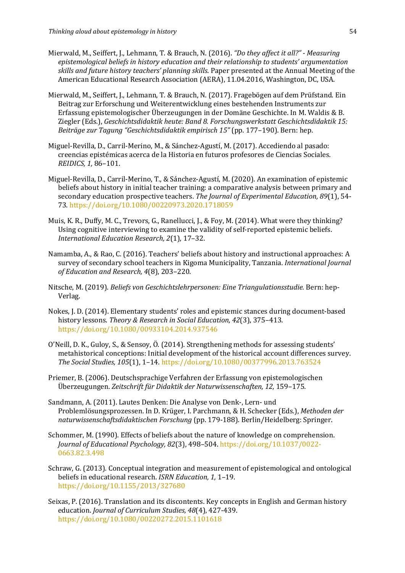- Mierwald, M., Seiffert, J., Lehmann, T. & Brauch, N. (2016). "Do they affect it all?" Measuring epistemological beliefs in history education and their relationship to students' argumentation skills and future history teachers' planning skills. Paper presented at the Annual Meeting of the American Educational Research Association (AERA), 11.04.2016, Washington, DC, USA.
- Mierwald, M., Seiffert, J., Lehmann, T. & Brauch, N. (2017). Fragebögen auf dem Prüfstand. Ein Beitrag zur Erforschung und Weiterentwicklung eines bestehenden Instruments zur Erfassung epistemologischer Überzeugungen in der Domäne Geschichte. In M. Waldis & B. Ziegler (Eds.), Geschichtsdidaktik heute: Band 8. Forschungswerkstatt Geschichtsdidaktik 15: *Beiträge zur Tagung "Geschichtsdidaktik empirisch 15"* (pp. 177–190). Bern: hep.
- Miguel-Revilla, D., Carril-Merino, M., & Sánchez-Agustí, M. (2017). Accediendo al pasado: creencias epistémicas acerca de la Historia en futuros profesores de Ciencias Sociales. *REIDICS, 1,* 86–101.
- Miguel-Revilla, D., Carril-Merino, T., & Sánchez-Agustí, M. (2020). An examination of epistemic beliefs about history in initial teacher training: a comparative analysis between primary and secondary education prospective teachers. The Journal of Experimental Education, 89(1), 54-73. https://doi.org/10.1080/00220973.2020.1718059
- Muis, K. R., Duffy, M. C., Trevors, G., Ranellucci, J., & Foy, M. (2014). What were they thinking? Using cognitive interviewing to examine the validity of self-reported epistemic beliefs. *International Education Research, 2*(1), 17–32.
- Namamba, A., & Rao, C. (2016). Teachers' beliefs about history and instructional approaches: A survey of secondary school teachers in Kigoma Municipality, Tanzania. *International Journal* of Education and Research, 4(8), 203-220.
- Nitsche, M. (2019). *Beliefs von Geschichtslehrpersonen: Eine Triangulationsstudie.* Bern: hep-Verlag.
- Nokes, I. D. (2014). Elementary students' roles and epistemic stances during document-based history lessons. *Theory & Research in Social Education, 42*(3), 375-413. https://doi.org/10.1080/00933104.2014.937546
- O'Neill, D. K., Guloy, S., & Sensoy, Ö. (2014). Strengthening methods for assessing students' metahistorical conceptions: Initial development of the historical account differences survey. *The Social Studies, 105*(1), 1–14. https://doi.org/10.1080/00377996.2013.763524
- Priemer, B. (2006). Deutschsprachige Verfahren der Erfassung von epistemologischen Überzeugungen. Zeitschrift für Didaktik der Naturwissenschaften, 12, 159–175.
- Sandmann, A. (2011). Lautes Denken: Die Analyse von Denk-, Lern- und Problemlösungsprozessen. In D. Krüger, I. Parchmann, & H. Schecker (Eds.), Methoden der *naturwissenschaftsdidaktischen Forschung* (pp. 179-188). Berlin/Heidelberg: Springer.
- Schommer, M. (1990). Effects of beliefs about the nature of knowledge on comprehension. *Journal of Educational Psychology, 82*(3), 498–504. https://doi.org/10.1037/0022- 0663.82.3.498
- Schraw, G. (2013). Conceptual integration and measurement of epistemological and ontological beliefs in educational research. *ISRN Education*, 1, 1-19. https://doi.org/10.1155/2013/327680
- Seixas, P. (2016). Translation and its discontents. Key concepts in English and German history education. *Journal of Curriculum Studies, 48*(4), 427-439. https://doi.org/10.1080/00220272.2015.1101618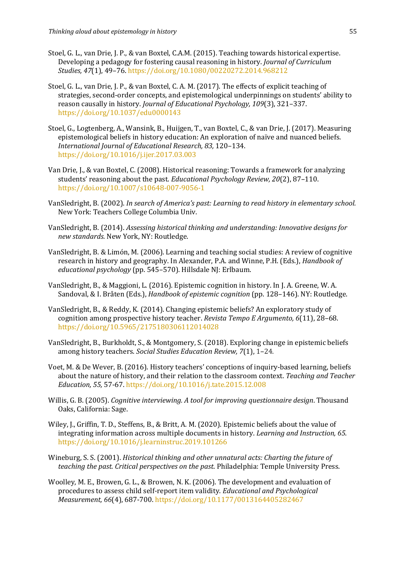- Stoel, G. L., van Drie, J. P., & van Boxtel, C.A.M. (2015). Teaching towards historical expertise. Developing a pedagogy for fostering causal reasoning in history. *Journal of Curriculum Studies, 47*(1), 49–76. https://doi.org/10.1080/00220272.2014.968212
- Stoel, G. L., van Drie, J. P., & van Boxtel, C. A. M. (2017). The effects of explicit teaching of strategies, second-order concepts, and epistemological underpinnings on students' ability to reason causally in history. *Journal of Educational Psychology, 109*(3), 321-337. https://doi.org/10.1037/edu0000143
- Stoel, G., Logtenberg, A., Wansink, B., Huijgen, T., van Boxtel, C., & van Drie, J. (2017). Measuring epistemological beliefs in history education: An exploration of naïve and nuanced beliefs. *International Journal of Educational Research, 83,* 120–134. https://doi.org/10.1016/j.ijer.2017.03.003
- Van Drie, I., & van Boxtel, C. (2008). Historical reasoning: Towards a framework for analyzing students' reasoning about the past. *Educational Psychology Review, 20*(2), 87-110. https://doi.org/10.1007/s10648-007-9056-1
- VanSledright, B. (2002). *In search of America's past: Learning to read history in elementary school.* New York: Teachers College Columbia Univ.
- VanSledright, B. (2014). *Assessing historical thinking and understanding: Innovative designs for new standards.* New York, NY: Routledge.
- VanSledright, B. & Limón, M. (2006). Learning and teaching social studies: A review of cognitive research in history and geography. In Alexander, P.A. and Winne, P.H. (Eds.), *Handbook of educational psychology* (pp. 545–570). Hillsdale NJ: Erlbaum.
- VanSledright, B., & Maggioni, L. (2016). Epistemic cognition in history. In J. A. Greene, W. A. Sandoval, & I. Bråten (Eds.), *Handbook of epistemic cognition* (pp. 128–146). NY: Routledge.
- VanSledright, B., & Reddy, K. (2014). Changing epistemic beliefs? An exploratory study of cognition among prospective history teacher. *Revista Tempo E Argumento*, 6(11), 28-68. https://doi.org/10.5965/2175180306112014028
- VanSledright, B., Burkholdt, S., & Montgomery, S. (2018). Exploring change in epistemic beliefs among history teachers. *Social Studies Education Review, 7*(1), 1-24.
- Voet, M. & De Wever, B. (2016). History teachers' conceptions of inquiry-based learning, beliefs about the nature of history, and their relation to the classroom context. Teaching and Teacher *Education, 55,* 57-67. https://doi.org/10.1016/j.tate.2015.12.008
- Willis, G. B. (2005). *Cognitive interviewing. A tool for improving questionnaire design*. Thousand Oaks, California: Sage.
- Wiley, J., Griffin, T. D., Steffens, B., & Britt, A. M. (2020). Epistemic beliefs about the value of integrating information across multiple documents in history. *Learning and Instruction, 65*. https://doi.org/10.1016/j.learninstruc.2019.101266
- Wineburg, S. S. (2001). *Historical thinking and other unnatural acts: Charting the future of teaching the past. Critical perspectives on the past. Philadelphia: Temple University Press.*
- Woolley, M. E., Browen, G. L., & Browen, N. K. (2006). The development and evaluation of procedures to assess child self-report item validity. *Educational and Psychological Measurement,* 66(4), 687-700. https://doi.org/10.1177/0013164405282467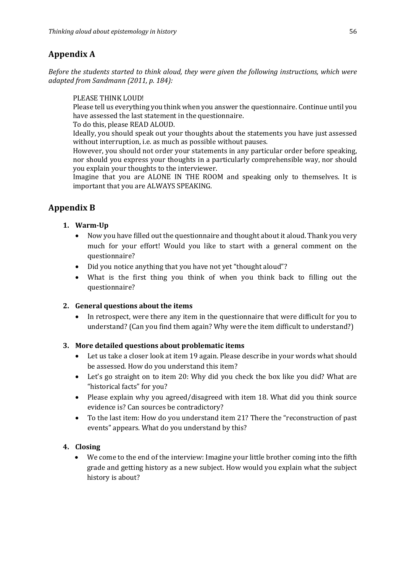# **Appendix A**

*Before the students started to think aloud, they were aiven the following instructions, which were adapted from Sandmann (2011, p. 184):*

## PLEASE THINK LOUD!

Please tell us everything you think when you answer the questionnaire. Continue until you have assessed the last statement in the questionnaire.

To do this, please READ ALOUD.

Ideally, you should speak out your thoughts about the statements you have just assessed without interruption, i.e. as much as possible without pauses.

However, you should not order your statements in any particular order before speaking, nor should you express your thoughts in a particularly comprehensible way, nor should you explain your thoughts to the interviewer.

Imagine that you are ALONE IN THE ROOM and speaking only to themselves. It is important that you are ALWAYS SPEAKING.

# **Appendix B**

# **1. Warm-Up**

- Now you have filled out the questionnaire and thought about it aloud. Thank you very much for your effort! Would you like to start with a general comment on the questionnaire?
- Did you notice anything that you have not yet "thought aloud"?
- What is the first thing you think of when you think back to filling out the questionnaire?

# **2. General questions about the items**

In retrospect, were there any item in the questionnaire that were difficult for you to understand? (Can you find them again? Why were the item difficult to understand?)

# **3. More detailed questions about problematic items**

- Let us take a closer look at item 19 again. Please describe in your words what should be assessed. How do you understand this item?
- Let's go straight on to item 20: Why did you check the box like you did? What are "historical facts" for you?
- Please explain why you agreed/disagreed with item 18. What did you think source evidence is? Can sources be contradictory?
- To the last item: How do you understand item 21? There the "reconstruction of past events" appears. What do you understand by this?

# **4. Closing**

We come to the end of the interview: Imagine your little brother coming into the fifth grade and getting history as a new subject. How would you explain what the subject history is about?